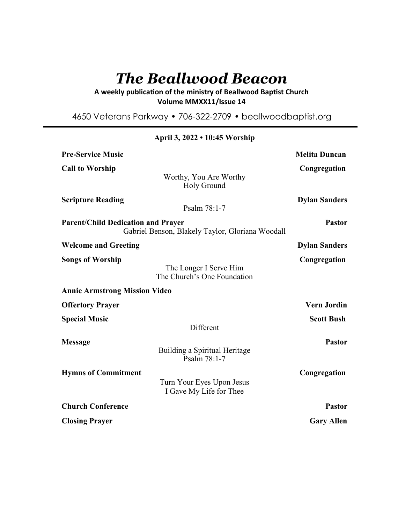# *The Beallwood Beacon*

A weekly publication of the ministry of Beallwood Baptist Church **Volume MMXX11/Issue 14** 

4650 Veterans Parkway • 706-322-2709 • beallwoodbaptist.org

| <b>Pre-Service Music</b>                                                                      |                                                       | <b>Melita Duncan</b> |
|-----------------------------------------------------------------------------------------------|-------------------------------------------------------|----------------------|
| <b>Call to Worship</b>                                                                        |                                                       | Congregation         |
|                                                                                               | Worthy, You Are Worthy<br>Holy Ground                 |                      |
| <b>Scripture Reading</b>                                                                      | Psalm 78:1-7                                          | <b>Dylan Sanders</b> |
| <b>Parent/Child Dedication and Prayer</b><br>Gabriel Benson, Blakely Taylor, Gloriana Woodall |                                                       | <b>Pastor</b>        |
| <b>Welcome and Greeting</b>                                                                   |                                                       | <b>Dylan Sanders</b> |
| <b>Songs of Worship</b>                                                                       | The Longer I Serve Him<br>The Church's One Foundation | Congregation         |
| <b>Annie Armstrong Mission Video</b>                                                          |                                                       |                      |
| <b>Offertory Prayer</b>                                                                       |                                                       | <b>Vern Jordin</b>   |
| <b>Special Music</b>                                                                          | Different                                             | <b>Scott Bush</b>    |
| <b>Message</b>                                                                                | Building a Spiritual Heritage<br>Psalm 78:1-7         | <b>Pastor</b>        |
| <b>Hymns of Commitment</b>                                                                    | Turn Your Eyes Upon Jesus<br>I Gave My Life for Thee  | Congregation         |
| <b>Church Conference</b>                                                                      |                                                       | <b>Pastor</b>        |
| <b>Closing Prayer</b>                                                                         |                                                       | <b>Gary Allen</b>    |

# **April 3, 2022 • 10:45 Worship**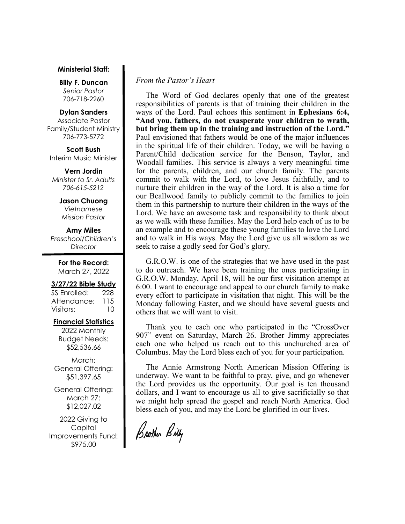#### **Ministerial Staff:**

**Billy F. Duncan** *Senior Pastor*  706-718-2260

#### **Dylan Sanders**

Associate Pastor Family/Student Ministry 706-773-5772

**Scott Bush**  Interim Music Minister

**Vern Jordin** *Minister to Sr. Adults 706-615-5212* 

> **Jason Chuong**  *Vietnamese Mission Pastor*

**Amy Miles** *Preschool/Children's Director* 

> **For the Record:**  March 27, 2022

#### **3/27/22 Bible Study**

SS Enrolled: 228 Attendance: 115 Visitors: 10

## **Financial Statistics**

2022 Monthly Budget Needs: \$52,536.66

March: General Offering: \$51,397.65

General Offering: March 27: \$12,027.02

2022 Giving to Capital Improvements Fund: \$975.00

#### *From the Pastor's Heart*

 The Word of God declares openly that one of the greatest responsibilities of parents is that of training their children in the ways of the Lord. Paul echoes this sentiment in **Ephesians 6:4, "And you, fathers, do not exasperate your children to wrath, but bring them up in the training and instruction of the Lord."** Paul envisioned that fathers would be one of the major influences in the spiritual life of their children. Today, we will be having a Parent/Child dedication service for the Benson, Taylor, and Woodall families. This service is always a very meaningful time for the parents, children, and our church family. The parents commit to walk with the Lord, to love Jesus faithfully, and to nurture their children in the way of the Lord. It is also a time for our Beallwood family to publicly commit to the families to join them in this partnership to nurture their children in the ways of the Lord. We have an awesome task and responsibility to think about as we walk with these families. May the Lord help each of us to be an example and to encourage these young families to love the Lord and to walk in His ways. May the Lord give us all wisdom as we seek to raise a godly seed for God's glory.

 G.R.O.W. is one of the strategies that we have used in the past to do outreach. We have been training the ones participating in G.R.O.W. Monday, April 18, will be our first visitation attempt at 6:00. I want to encourage and appeal to our church family to make every effort to participate in visitation that night. This will be the Monday following Easter, and we should have several guests and others that we will want to visit.

 Thank you to each one who participated in the "CrossOver 907" event on Saturday, March 26. Brother Jimmy appreciates each one who helped us reach out to this unchurched area of Columbus. May the Lord bless each of you for your participation.

 The Annie Armstrong North American Mission Offering is underway. We want to be faithful to pray, give, and go whenever the Lord provides us the opportunity. Our goal is ten thousand dollars, and I want to encourage us all to give sacrificially so that we might help spread the gospel and reach North America. God bless each of you, and may the Lord be glorified in our lives.

Brother Billy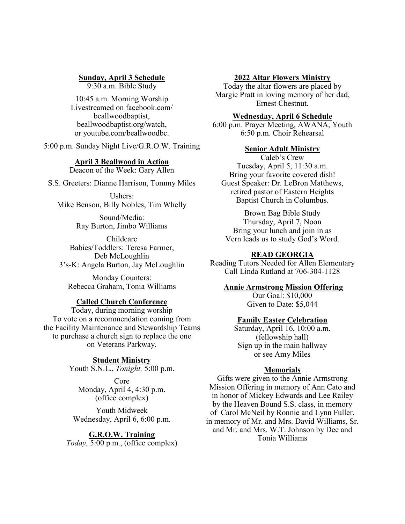## **Sunday, April 3 Schedule**

9:30 a.m. Bible Study

10:45 a.m. Morning Worship Livestreamed on facebook.com/ beallwoodbaptist, beallwoodbaptist.org/watch, or youtube.com/beallwoodbc.

5:00 p.m. Sunday Night Live/G.R.O.W. Training

# **April 3 Beallwood in Action**

Deacon of the Week: Gary Allen

S.S. Greeters: Dianne Harrison, Tommy Miles

Ushers: Mike Benson, Billy Nobles, Tim Whelly

> Sound/Media: Ray Burton, Jimbo Williams

Childcare Babies/Toddlers: Teresa Farmer, Deb McLoughlin 3's-K: Angela Burton, Jay McLoughlin

Monday Counters: Rebecca Graham, Tonia Williams

## **Called Church Conference**

Today, during morning worship To vote on a recommendation coming from the Facility Maintenance and Stewardship Teams to purchase a church sign to replace the one on Veterans Parkway.

> **Student Ministry** Youth S.N.L., *Tonight,* 5:00 p.m.

Core Monday, April 4, 4:30 p.m. (office complex)

Youth Midweek Wednesday, April 6, 6:00 p.m.

**G.R.O.W. Training** *Today,* 5:00 p.m., (office complex)

#### **2022 Altar Flowers Ministry**

Today the altar flowers are placed by Margie Pratt in loving memory of her dad, Ernest Chestnut.

## **Wednesday, April 6 Schedule**

6:00 p.m. Prayer Meeting, AWANA, Youth 6:50 p.m. Choir Rehearsal

## **Senior Adult Ministry**

Caleb's Crew Tuesday, April 5, 11:30 a.m. Bring your favorite covered dish! Guest Speaker: Dr. LeBron Matthews, retired pastor of Eastern Heights Baptist Church in Columbus.

Brown Bag Bible Study Thursday, April 7, Noon Bring your lunch and join in as Vern leads us to study God's Word.

#### **READ GEORGIA**

Reading Tutors Needed for Allen Elementary Call Linda Rutland at 706-304-1128

#### **Annie Armstrong Mission Offering**

Our Goal: \$10,000 Given to Date: \$5,044

#### **Family Easter Celebration**

Saturday, April 16, 10:00 a.m. (fellowship hall) Sign up in the main hallway or see Amy Miles

#### **Memorials**

Gifts were given to the Annie Armstrong Mission Offering in memory of Ann Cato and in honor of Mickey Edwards and Lee Railey by the Heaven Bound S.S. class, in memory of Carol McNeil by Ronnie and Lynn Fuller, in memory of Mr. and Mrs. David Williams, Sr. and Mr. and Mrs. W.T. Johnson by Dee and Tonia Williams